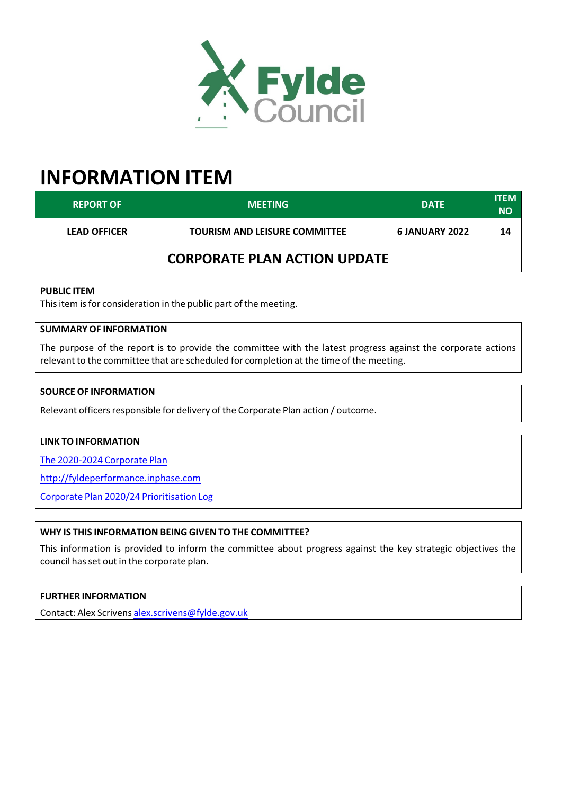

# **INFORMATION ITEM**

| <b>REPORT OF</b>                    | <b>MEETING</b>                       | <b>DATE</b>    | <b>ITEM</b><br><b>NO</b> |  |  |
|-------------------------------------|--------------------------------------|----------------|--------------------------|--|--|
| <b>LEAD OFFICER</b>                 | <b>TOURISM AND LEISURE COMMITTEE</b> | 6 JANUARY 2022 | 14                       |  |  |
| <b>CORPORATE PLAN ACTION UPDATE</b> |                                      |                |                          |  |  |

### **PUBLIC ITEM**

This item is for consideration in the public part of the meeting.

# **SUMMARY OF INFORMATION**

The purpose of the report is to provide the committee with the latest progress against the corporate actions relevant to the committee that are scheduled for completion at the time of the meeting.

## **SOURCE OF INFORMATION**

Relevant officers responsible for delivery of the Corporate Plan action / outcome.

#### **LINK TO INFORMATION**

The [2020‐2024](https://fylde.cmis.uk.com/fylde/Document.ashx?czJKcaeAi5tUFL1DTL2UE4zNRBcoShgo=jLKt3rrLAfVWYW9DvEBocjrd41%2bbqVh7%2f0c9Ryh28NMYu4A404XpAw%3d%3d&rUzwRPf%2bZ3zd4E7Ikn8Lyw%3d%3d=pwRE6AGJFLDNlh225F5QMaQWCtPHwdhUfCZ%2fLUQzgA2uL5jNRG4jdQ%3d%3d&mCTIbCubSFfXsDGW9IXnlg%3d%3d=hFflUdN3100%3d&kCx1AnS9%2fpWZQ40DXFvdEw%3d%3d=hFflUdN3100%3d&uJovDxwdjMPoYv%2bAJvYtyA%3d%3d=ctNJFf55vVA%3d&FgPlIEJYlotS%2bYGoBi5olA%3d%3d=NHdURQburHA%3d&d9Qjj0ag1Pd993jsyOJqFvmyB7X0CSQK=ctNJFf55vVA%3d&WGewmoAfeNR9xqBux0r1Q8Za60lavYmz=ctNJFf55vVA%3d&WGewmoAfeNQ16B2MHuCpMRKZMwaG1PaO=ctNJFf55vVA%3d) Corporate Plan

<http://fyldeperformance.inphase.com>

Corporate Plan 2020/24 [Prioritisation](https://new.fylde.gov.uk/wp-content/uploads/2021/11/Corporate-Plan-2020-24-Prioritisation-Log.pdf) Log

#### **WHY IS THIS INFORMATION BEING GIVEN TO THE COMMITTEE?**

This information is provided to inform the committee about progress against the key strategic objectives the council has set out in the corporate plan.

## **FURTHER INFORMATION**

Contact: Alex Scrivens [alex.scrivens@fylde.gov.uk](mailto:alex.scrivens@fylde.gov.uk)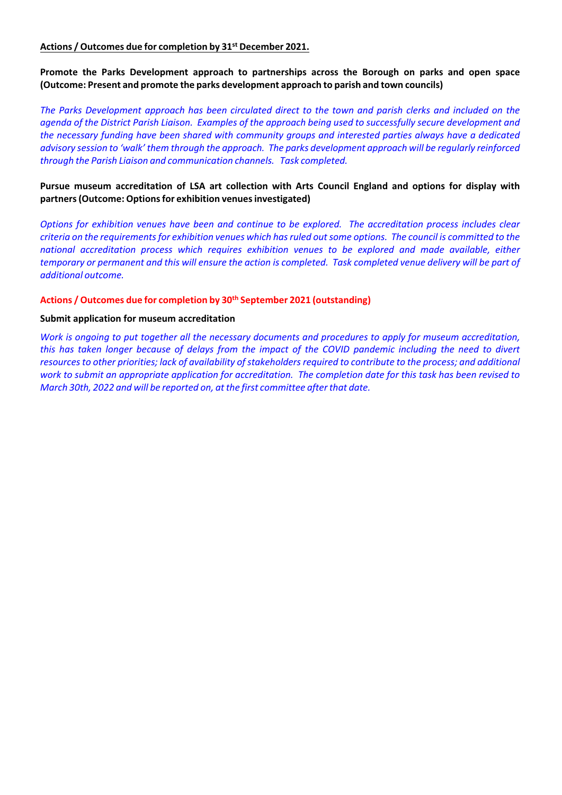## **Actions / Outcomes due for completion by 31 st December 2021.**

**Promote the Parks Development approach to partnerships across the Borough on parks and open space (Outcome: Present and promote the parks development approach to parish and town councils)**

The Parks Development approach has been circulated direct to the town and parish clerks and included on the agenda of the District Parish Liaison. Examples of the approach being used to successfully secure development and *the necessary funding have been shared with community groups and interested parties always have a dedicated* advisory session to 'walk' them through the approach. The parks development approach will be regularly reinforced *through the Parish Liaison and communication channels. Task completed.*

## **Pursue museum accreditation of LSA art collection with Arts Council England and options for display with partners(Outcome: Optionsfor exhibition venuesinvestigated)**

*Options for exhibition venues have been and continue to be explored. The accreditation process includes clear* criteria on the requirements for exhibition venues which has ruled out some options. The council is committed to the *national accreditation process which requires exhibition venues to be explored and made available, either* temporary or permanent and this will ensure the action is completed. Task completed venue delivery will be part of *additional outcome.*

#### **Actions / Outcomes due for completion by 30 th September 2021 (outstanding)**

#### **Submit application for museum accreditation**

Work is ongoing to put together all the necessary documents and procedures to apply for museum accreditation, this has taken longer because of delays from the impact of the COVID pandemic including the need to divert *resourcesto other priorities; lack of availability ofstakeholdersrequired to contribute to the process; and additional* work to submit an appropriate application for accreditation. The completion date for this task has been revised to *March* 30th, 2022 and will be reported on, at the first committee after that date.